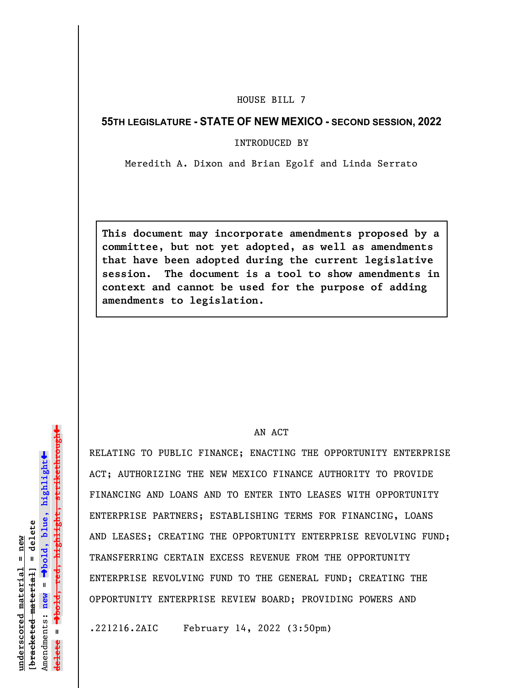## HOUSE BILL 7

## **55TH LEGISLATURE - STATE OF NEW MEXICO - SECOND SESSION, 2022**

INTRODUCED BY

Meredith A. Dixon and Brian Egolf and Linda Serrato

**This document may incorporate amendments proposed by a committee, but not yet adopted, as well as amendments that have been adopted during the current legislative session. The document is a tool to show amendments in context and cannot be used for the purpose of adding amendments to legislation.**

## AN ACT

RELATING TO PUBLIC FINANCE; ENACTING THE OPPORTUNITY ENTERPRISE ACT; AUTHORIZING THE NEW MEXICO FINANCE AUTHORITY TO PROVIDE FINANCING AND LOANS AND TO ENTER INTO LEASES WITH OPPORTUNITY ENTERPRISE PARTNERS; ESTABLISHING TERMS FOR FINANCING, LOANS AND LEASES; CREATING THE OPPORTUNITY ENTERPRISE REVOLVING FUND; TRANSFERRING CERTAIN EXCESS REVENUE FROM THE OPPORTUNITY ENTERPRISE REVOLVING FUND TO THE GENERAL FUND; CREATING THE OPPORTUNITY ENTERPRISE REVIEW BOARD; PROVIDING POWERS AND

.221216.2AIC February 14, 2022 (3:50pm)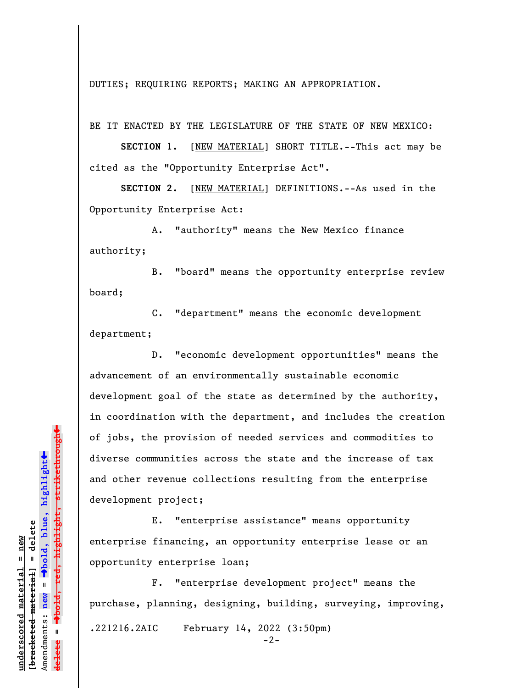DUTIES; REQUIRING REPORTS; MAKING AN APPROPRIATION.

BE IT ENACTED BY THE LEGISLATURE OF THE STATE OF NEW MEXICO:

**SECTION 1.** [NEW MATERIAL] SHORT TITLE.--This act may be cited as the "Opportunity Enterprise Act".

**SECTION 2.** [NEW MATERIAL] DEFINITIONS.--As used in the Opportunity Enterprise Act:

A. "authority" means the New Mexico finance authority;

B. "board" means the opportunity enterprise review board;

C. "department" means the economic development department;

D. "economic development opportunities" means the advancement of an environmentally sustainable economic development goal of the state as determined by the authority, in coordination with the department, and includes the creation of jobs, the provision of needed services and commodities to diverse communities across the state and the increase of tax and other revenue collections resulting from the enterprise development project;

E. "enterprise assistance" means opportunity enterprise financing, an opportunity enterprise lease or an opportunity enterprise loan;

F. "enterprise development project" means the purchase, planning, designing, building, surveying, improving, .221216.2AIC February 14, 2022 (3:50pm)  $-2-$ 

º**bold, red, highlight, strikethrough** º**bold, blue, highlight** bracketed material] = delete **[bracketed material] = delete** Amendments: **new** =  $\mathbf{I}$ Amendments: new **delete =**

 $\ddot{\bullet}$ 

 $\ddag$ 

**underscored material = new**

inderscored material = new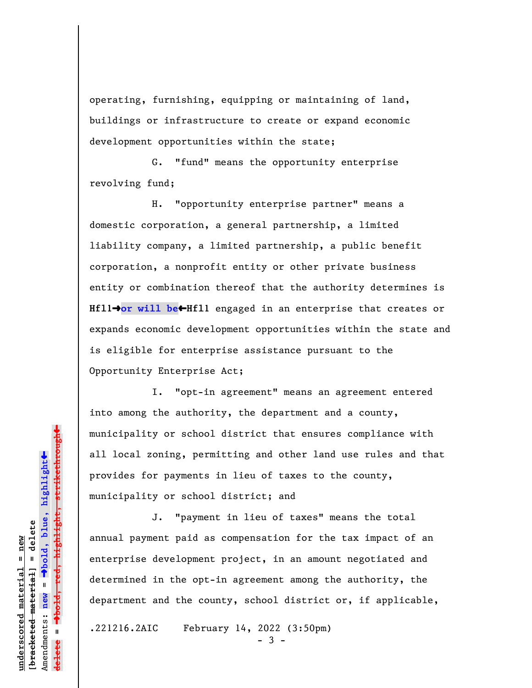operating, furnishing, equipping or maintaining of land, buildings or infrastructure to create or expand economic development opportunities within the state;

G. "fund" means the opportunity enterprise revolving fund;

H. "opportunity enterprise partner" means a domestic corporation, a general partnership, a limited liability company, a limited partnership, a public benefit corporation, a nonprofit entity or other private business entity or combination thereof that the authority determines is **Hfll→or will be←Hfll** engaged in an enterprise that creates or expands economic development opportunities within the state and is eligible for enterprise assistance pursuant to the Opportunity Enterprise Act;

I. "opt-in agreement" means an agreement entered into among the authority, the department and a county, municipality or school district that ensures compliance with all local zoning, permitting and other land use rules and that provides for payments in lieu of taxes to the county, municipality or school district; and

J. "payment in lieu of taxes" means the total annual payment paid as compensation for the tax impact of an enterprise development project, in an amount negotiated and determined in the opt-in agreement among the authority, the department and the county, school district or, if applicable,

.221216.2AIC February 14, 2022 (3:50pm)

- 3 -

 $\ddag$ º**bold, red, highlight, strikethrough**  $\ddot{\bullet}$ º**bold, blue, highlight** bracketed material] = delete **[bracketed material] = delete** inderscored material = new **underscored material = new** Amendments: **new** =  $\mathbf{I}$ Amendments: new **delete =**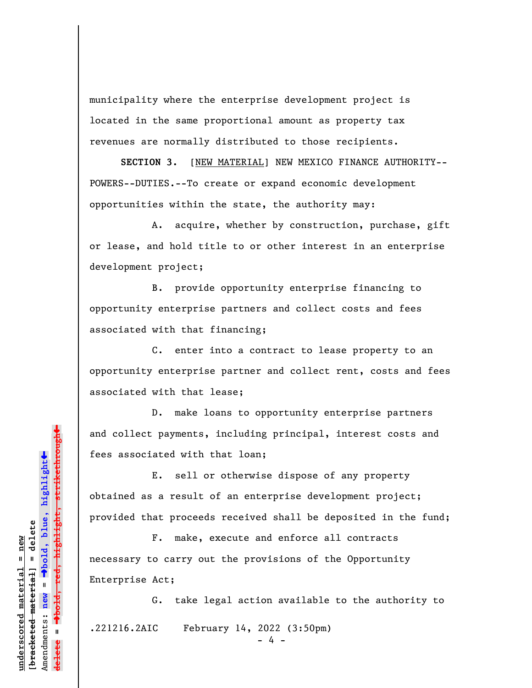municipality where the enterprise development project is located in the same proportional amount as property tax revenues are normally distributed to those recipients.

**SECTION 3.** [NEW MATERIAL] NEW MEXICO FINANCE AUTHORITY-- POWERS--DUTIES.--To create or expand economic development opportunities within the state, the authority may:

A. acquire, whether by construction, purchase, gift or lease, and hold title to or other interest in an enterprise development project;

B. provide opportunity enterprise financing to opportunity enterprise partners and collect costs and fees associated with that financing;

C. enter into a contract to lease property to an opportunity enterprise partner and collect rent, costs and fees associated with that lease;

D. make loans to opportunity enterprise partners and collect payments, including principal, interest costs and fees associated with that loan;

E. sell or otherwise dispose of any property obtained as a result of an enterprise development project; provided that proceeds received shall be deposited in the fund;

F. make, execute and enforce all contracts necessary to carry out the provisions of the Opportunity Enterprise Act;

G. take legal action available to the authority to .221216.2AIC February 14, 2022 (3:50pm)

- 4 -

-bold, red, highlight, strikethrough º**bold, red, highlight, strikethrough**  $\ddot{\bullet}$ º**bold, blue, highlight** bracketed material] = delete **[bracketed material] = delete** inderscored material = new **underscored material = new** Amendments: **new** =  $\mathbf{u}$ Amendments: new **delete =**

»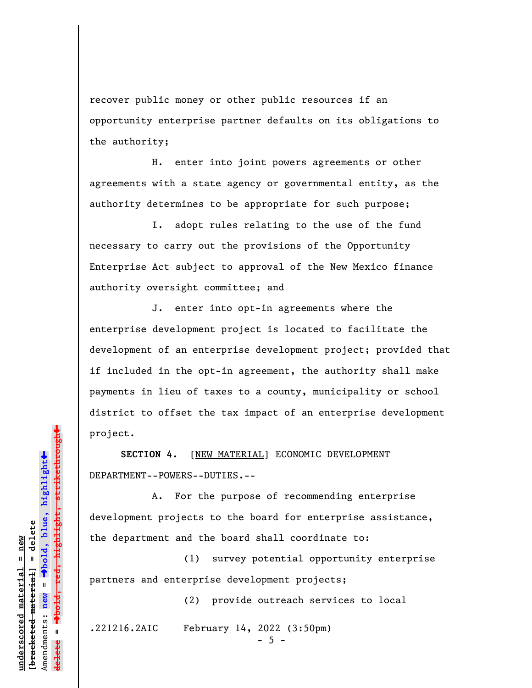recover public money or other public resources if an opportunity enterprise partner defaults on its obligations to the authority;

H. enter into joint powers agreements or other agreements with a state agency or governmental entity, as the authority determines to be appropriate for such purpose;

I. adopt rules relating to the use of the fund necessary to carry out the provisions of the Opportunity Enterprise Act subject to approval of the New Mexico finance authority oversight committee; and

J. enter into opt-in agreements where the enterprise development project is located to facilitate the development of an enterprise development project; provided that if included in the opt-in agreement, the authority shall make payments in lieu of taxes to a county, municipality or school district to offset the tax impact of an enterprise development project.

**SECTION 4.** [NEW MATERIAL] ECONOMIC DEVELOPMENT DEPARTMENT--POWERS--DUTIES.--

 A. For the purpose of recommending enterprise development projects to the board for enterprise assistance, the department and the board shall coordinate to:

(1) survey potential opportunity enterprise partners and enterprise development projects;

(2) provide outreach services to local

.221216.2AIC February 14, 2022 (3:50pm)

 $-5 -$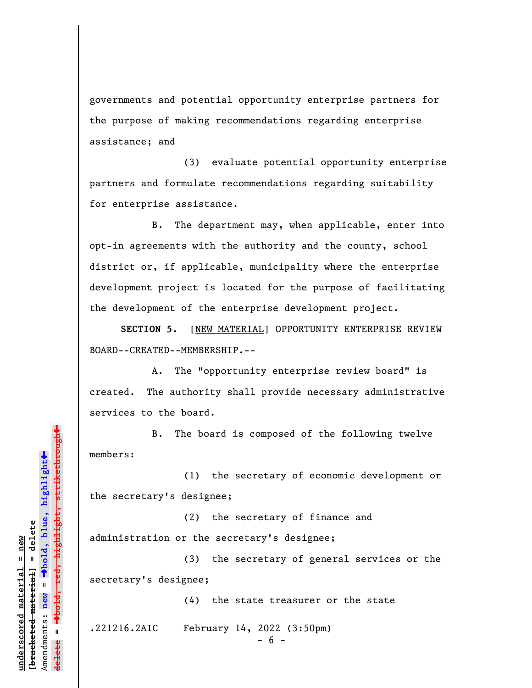governments and potential opportunity enterprise partners for the purpose of making recommendations regarding enterprise assistance; and

(3) evaluate potential opportunity enterprise partners and formulate recommendations regarding suitability for enterprise assistance.

B. The department may, when applicable, enter into opt-in agreements with the authority and the county, school district or, if applicable, municipality where the enterprise development project is located for the purpose of facilitating the development of the enterprise development project.

**SECTION 5.** [NEW MATERIAL] OPPORTUNITY ENTERPRISE REVIEW BOARD--CREATED--MEMBERSHIP.--

A. The "opportunity enterprise review board" is created. The authority shall provide necessary administrative services to the board.

B. The board is composed of the following twelve members:

(1) the secretary of economic development or the secretary's designee;

(2) the secretary of finance and administration or the secretary's designee;

(3) the secretary of general services or the secretary's designee;

(4) the state treasurer or the state

.221216.2AIC February 14, 2022 (3:50pm)

- 6 -

»highlight, strikethrough º**bold, red, highlight, strikethrough**  $\ddot{\bullet}$ º**bold, blue, highlight** bracketed material] = delete **[bracketed material] = delete** inderscored material = new **underscored material = new** Amendments: **new** =  $\mathbf{I}$ Amendments: new **delete =**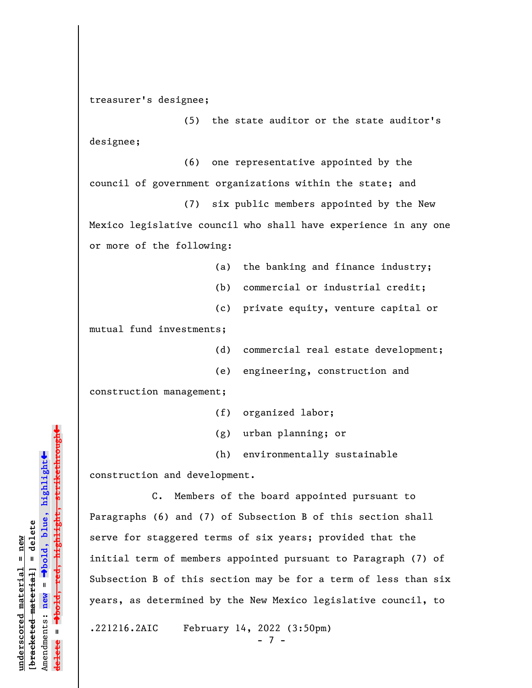treasurer's designee;

(5) the state auditor or the state auditor's designee;

(6) one representative appointed by the council of government organizations within the state; and

(7) six public members appointed by the New Mexico legislative council who shall have experience in any one or more of the following:

- (a) the banking and finance industry;
- (b) commercial or industrial credit;
- (c) private equity, venture capital or

mutual fund investments;

- (d) commercial real estate development;
- (e) engineering, construction and

construction management;

- (f) organized labor;
- (g) urban planning; or
- (h) environmentally sustainable

construction and development.

C. Members of the board appointed pursuant to Paragraphs (6) and (7) of Subsection B of this section shall serve for staggered terms of six years; provided that the initial term of members appointed pursuant to Paragraph (7) of Subsection B of this section may be for a term of less than six years, as determined by the New Mexico legislative council, to

.221216.2AIC February 14, 2022 (3:50pm)

- 7 -

»º**bold, red, highlight, strikethrough** highlight, strikethrou  $\ddot{\bullet}$ º**bold, blue, highlight** bracketed material] = delete **[bracketed material] = delete** inderscored material = new **underscored material = new** Amendments: **new** =  $\mathbf{u}$ Amendments: new **delete =**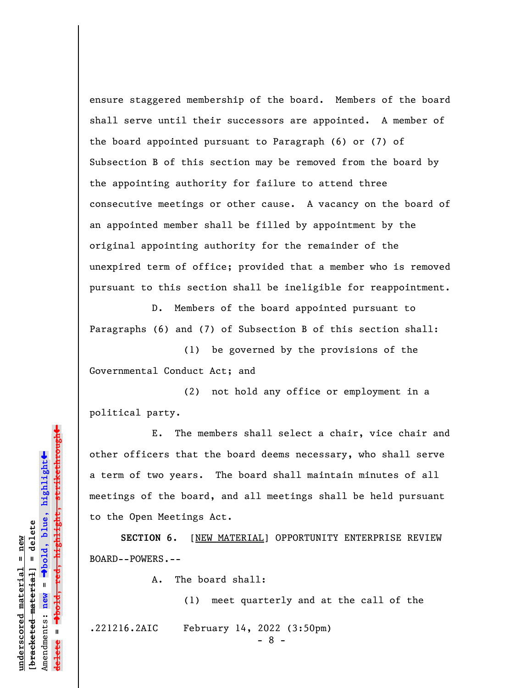ensure staggered membership of the board. Members of the board shall serve until their successors are appointed. A member of the board appointed pursuant to Paragraph (6) or (7) of Subsection B of this section may be removed from the board by the appointing authority for failure to attend three consecutive meetings or other cause. A vacancy on the board of an appointed member shall be filled by appointment by the original appointing authority for the remainder of the unexpired term of office; provided that a member who is removed pursuant to this section shall be ineligible for reappointment.

D. Members of the board appointed pursuant to Paragraphs (6) and (7) of Subsection B of this section shall:

 (1) be governed by the provisions of the Governmental Conduct Act; and

 (2) not hold any office or employment in a political party.

E. The members shall select a chair, vice chair and other officers that the board deems necessary, who shall serve a term of two years. The board shall maintain minutes of all meetings of the board, and all meetings shall be held pursuant to the Open Meetings Act.

**SECTION 6.** [NEW MATERIAL] OPPORTUNITY ENTERPRISE REVIEW BOARD--POWERS.--

A. The board shall:

(1) meet quarterly and at the call of the

.221216.2AIC February 14, 2022 (3:50pm)

- 8 -

Dold, red, highlight, strikethrough º**bold, red, highlight, strikethrough**  $\ddot{\bullet}$ º**bold, blue, highlight** bracketed material] = delete **[bracketed material] = delete** inderscored material = new **underscored material = new** Amendments: **new** =  $\mathbf{u}$ Amendments: new **delete =**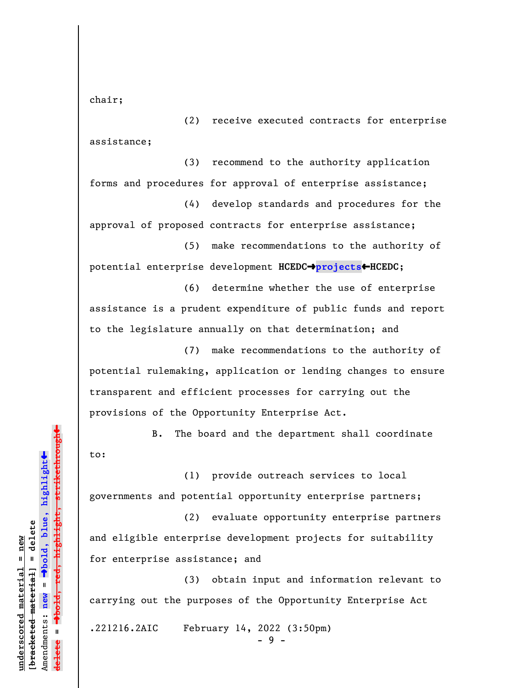chair;

(2) receive executed contracts for enterprise assistance;

(3) recommend to the authority application forms and procedures for approval of enterprise assistance;

(4) develop standards and procedures for the approval of proposed contracts for enterprise assistance;

(5) make recommendations to the authority of potential enterprise development **HCEDC**º**projects**»**HCEDC**;

(6) determine whether the use of enterprise assistance is a prudent expenditure of public funds and report to the legislature annually on that determination; and

(7) make recommendations to the authority of potential rulemaking, application or lending changes to ensure transparent and efficient processes for carrying out the provisions of the Opportunity Enterprise Act.

B. The board and the department shall coordinate to:

(1) provide outreach services to local governments and potential opportunity enterprise partners;

(2) evaluate opportunity enterprise partners and eligible enterprise development projects for suitability for enterprise assistance; and

(3) obtain input and information relevant to carrying out the purposes of the Opportunity Enterprise Act

.221216.2AIC February 14, 2022 (3:50pm)

- 9 -

»highlight, strikethrough º**bold, red, highlight, strikethrough**  $\ddot{\bullet}$ º**bold, blue, highlight** bracketed material] = delete **[bracketed material] = delete** inderscored material = new **underscored material = new** Amendments: **new** =  $\mathbf{u}$ Amendments: new **delete =** e<del>l</del>ete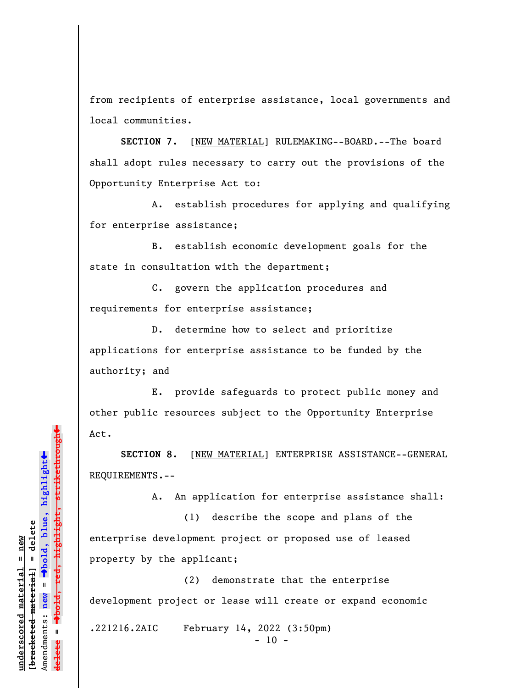from recipients of enterprise assistance, local governments and local communities.

**SECTION 7.** [NEW MATERIAL] RULEMAKING--BOARD.--The board shall adopt rules necessary to carry out the provisions of the Opportunity Enterprise Act to:

A. establish procedures for applying and qualifying for enterprise assistance;

B. establish economic development goals for the state in consultation with the department;

C. govern the application procedures and requirements for enterprise assistance;

D. determine how to select and prioritize applications for enterprise assistance to be funded by the authority; and

E. provide safeguards to protect public money and other public resources subject to the Opportunity Enterprise Act.

**SECTION 8.** [NEW MATERIAL] ENTERPRISE ASSISTANCE--GENERAL REQUIREMENTS.--

A. An application for enterprise assistance shall:

 (1) describe the scope and plans of the enterprise development project or proposed use of leased property by the applicant;

 (2) demonstrate that the enterprise development project or lease will create or expand economic

.221216.2AIC February 14, 2022 (3:50pm)

 $- 10 -$ 

»º**bold, red, highlight, strikethrough** red<del>, highlight, strikethrou</del>  $\ddot{\bullet}$ º**bold, blue, highlight** bracketed material] = delete **[bracketed material] = delete** mderscored material = new **underscored material = new** Amendments: **new** =  $\mathbf{u}$ Amendments: new **delete =**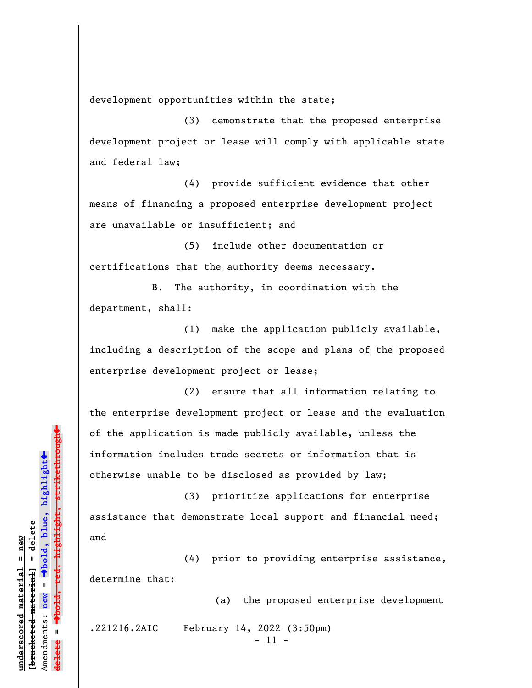development opportunities within the state;

 (3) demonstrate that the proposed enterprise development project or lease will comply with applicable state and federal law;

 (4) provide sufficient evidence that other means of financing a proposed enterprise development project are unavailable or insufficient; and

(5) include other documentation or certifications that the authority deems necessary.

B. The authority, in coordination with the department, shall:

(1) make the application publicly available, including a description of the scope and plans of the proposed enterprise development project or lease;

(2) ensure that all information relating to the enterprise development project or lease and the evaluation of the application is made publicly available, unless the information includes trade secrets or information that is otherwise unable to be disclosed as provided by law;

(3) prioritize applications for enterprise assistance that demonstrate local support and financial need; and

(4) prior to providing enterprise assistance, determine that:

(a) the proposed enterprise development

.221216.2AIC February 14, 2022 (3:50pm)

- 11 -

»º**bold, red, highlight, strikethrough** h<del>ighlight, strikethrough</del>  $\ddot{\bullet}$ º**bold, blue, highlight** bracketed material] = delete **[bracketed material] = delete** inderscored material = new **underscored material = new** Amendments: **new** =  $\mathbf{I}$ Amendments: new **delete =**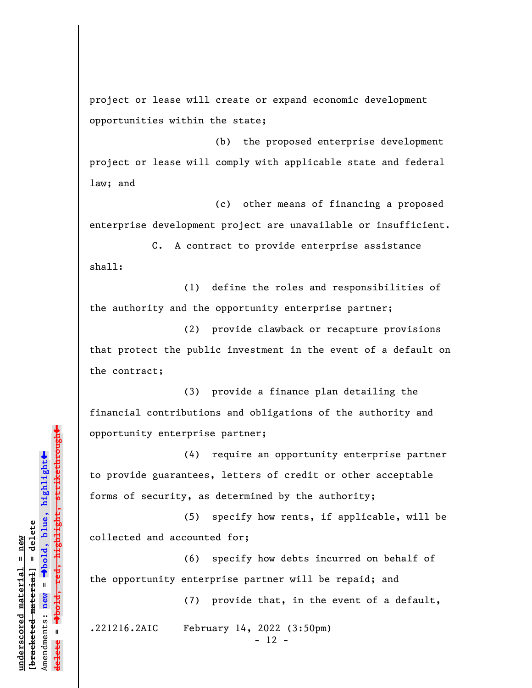project or lease will create or expand economic development opportunities within the state;

(b) the proposed enterprise development project or lease will comply with applicable state and federal law; and

 (c) other means of financing a proposed enterprise development project are unavailable or insufficient.

C. A contract to provide enterprise assistance shall:

(1) define the roles and responsibilities of the authority and the opportunity enterprise partner;

(2) provide clawback or recapture provisions that protect the public investment in the event of a default on the contract;

(3) provide a finance plan detailing the financial contributions and obligations of the authority and opportunity enterprise partner;

(4) require an opportunity enterprise partner to provide guarantees, letters of credit or other acceptable forms of security, as determined by the authority;

(5) specify how rents, if applicable, will be collected and accounted for;

(6) specify how debts incurred on behalf of the opportunity enterprise partner will be repaid; and

(7) provide that, in the event of a default,

.221216.2AIC February 14, 2022 (3:50pm)

- 12 -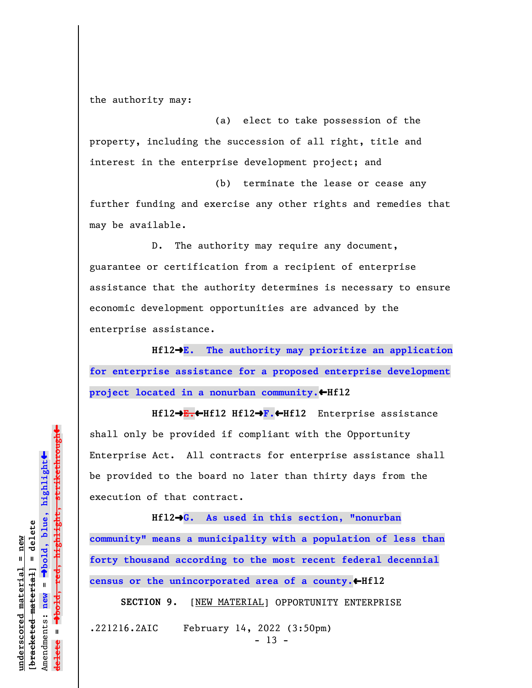the authority may:

(a) elect to take possession of the property, including the succession of all right, title and interest in the enterprise development project; and

(b) terminate the lease or cease any further funding and exercise any other rights and remedies that may be available.

D. The authority may require any document, guarantee or certification from a recipient of enterprise assistance that the authority determines is necessary to ensure economic development opportunities are advanced by the enterprise assistance.

**Hfl2**º**E. The authority may prioritize an application for enterprise assistance for a proposed enterprise development** project located in a nonurban community.  $\bigoplus$  Hfl2

**Hfl2**º**E.**»**Hfl2 Hfl2**º**F.**»**Hfl2** Enterprise assistance shall only be provided if compliant with the Opportunity Enterprise Act. All contracts for enterprise assistance shall be provided to the board no later than thirty days from the execution of that contract.

**Hfl2**º**G. As used in this section, "nonurban**

**community" means a municipality with a population of less than forty thousand according to the most recent federal decennial** census or the unincorporated area of a county.<br/> **When** 

SECTION 9. [NEW MATERIAL] OPPORTUNITY ENTERPRISE

.221216.2AIC February 14, 2022 (3:50pm)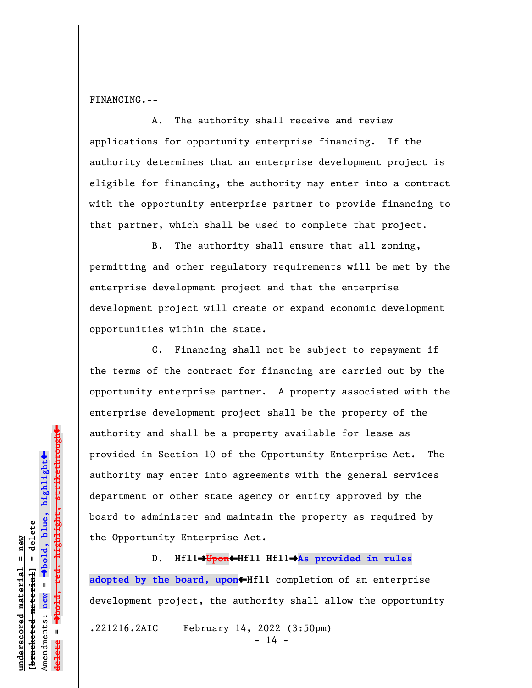FINANCING.--

A. The authority shall receive and review applications for opportunity enterprise financing. If the authority determines that an enterprise development project is eligible for financing, the authority may enter into a contract with the opportunity enterprise partner to provide financing to that partner, which shall be used to complete that project.

B. The authority shall ensure that all zoning, permitting and other regulatory requirements will be met by the enterprise development project and that the enterprise development project will create or expand economic development opportunities within the state.

C. Financing shall not be subject to repayment if the terms of the contract for financing are carried out by the opportunity enterprise partner. A property associated with the enterprise development project shall be the property of the authority and shall be a property available for lease as provided in Section 10 of the Opportunity Enterprise Act. The authority may enter into agreements with the general services department or other state agency or entity approved by the board to administer and maintain the property as required by the Opportunity Enterprise Act.

D. **Hfll→Upon←Hfll Hfll→As provided in rules** adopted by the board, upon<sup>-</sup>Hfll completion of an enterprise development project, the authority shall allow the opportunity .221216.2AIC February 14, 2022 (3:50pm)  $- 14 -$ 

º**bold, red, highlight, strikethrough**  $\ddot{\bullet}$ º**bold, blue, highlight** bracketed material] = delete **[bracketed material] = delete** mderscored material = new **underscored material = new** Amendments: **new** =  $\bar{\mathbf{u}}$ Amendments: new **delete =**

 $\ddag$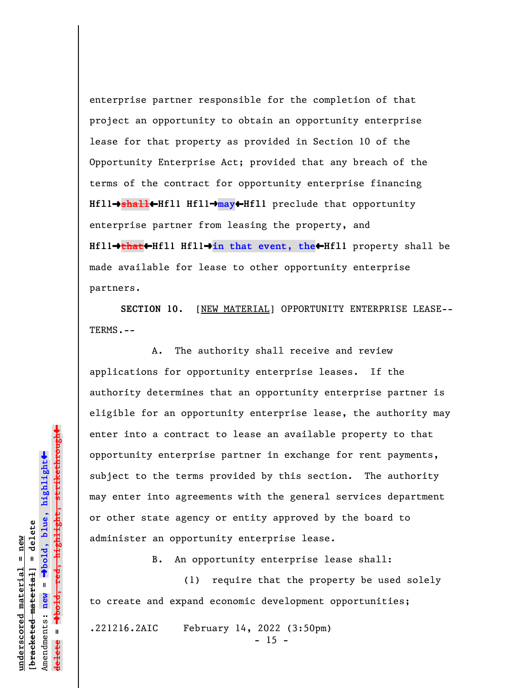enterprise partner responsible for the completion of that project an opportunity to obtain an opportunity enterprise lease for that property as provided in Section 10 of the Opportunity Enterprise Act; provided that any breach of the terms of the contract for opportunity enterprise financing **Hfl1**º**shall**»**Hfl1 Hfl1**º**may**»**Hfl1** preclude that opportunity enterprise partner from leasing the property, and **Hfl1**º**that**»**Hfl1 Hfl1**º**in that event, the**»**Hfl1** property shall be made available for lease to other opportunity enterprise partners.

**SECTION 10.** [NEW MATERIAL] OPPORTUNITY ENTERPRISE LEASE-- TERMS.--

A. The authority shall receive and review applications for opportunity enterprise leases. If the authority determines that an opportunity enterprise partner is eligible for an opportunity enterprise lease, the authority may enter into a contract to lease an available property to that opportunity enterprise partner in exchange for rent payments, subject to the terms provided by this section. The authority may enter into agreements with the general services department or other state agency or entity approved by the board to administer an opportunity enterprise lease.

B. An opportunity enterprise lease shall:

(1) require that the property be used solely to create and expand economic development opportunities;

.221216.2AIC February 14, 2022 (3:50pm)

 $- 15 -$ 

 $\ddag$ º**bold, red, highlight, strikethrough**  $\ddot{\bullet}$ º**bold, blue, highlight** bracketed material] = delete **[bracketed material] = delete** inderscored material = new **underscored material = new** Amendments: **new** =  $\bar{\mathbf{u}}$ Amendments: new  $\mathbf{u}$ **delete =**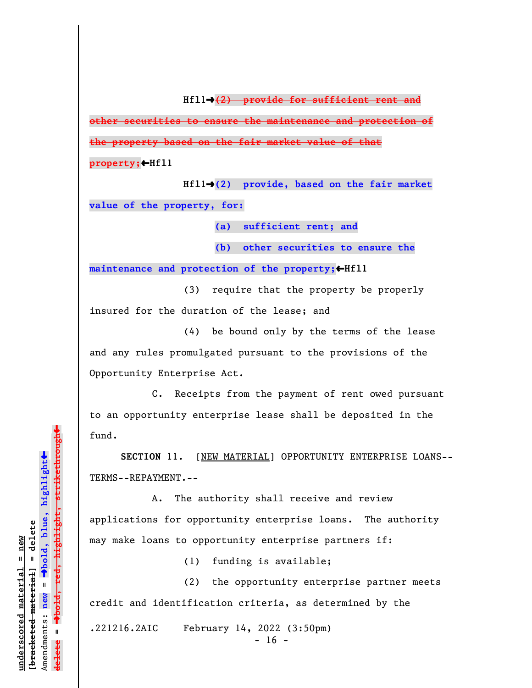**Hfl1**º**(2) provide for sufficient rent and**

**other securities to ensure the maintenance and protection of the property based on the fair market value of that**

**property;**»**Hfl1**

**Hfl1**º**(2) provide, based on the fair market value of the property, for:**

**(a) sufficient rent; and**

**(b) other securities to ensure the**

maintenance and protection of the property;<sup>+Hfll</sup>

 (3) require that the property be properly insured for the duration of the lease; and

(4) be bound only by the terms of the lease and any rules promulgated pursuant to the provisions of the Opportunity Enterprise Act.

C. Receipts from the payment of rent owed pursuant to an opportunity enterprise lease shall be deposited in the fund.

**SECTION 11.** [NEW MATERIAL] OPPORTUNITY ENTERPRISE LOANS-- TERMS--REPAYMENT.--

A. The authority shall receive and review applications for opportunity enterprise loans. The authority may make loans to opportunity enterprise partners if:

(1) funding is available;

(2) the opportunity enterprise partner meets credit and identification criteria, as determined by the

.221216.2AIC February 14, 2022 (3:50pm)

 $- 16 -$ 

 $\ddag$ º**bold, red, highlight, strikethrough**  $\ddot{\bullet}$ º**bold, blue, highlight** bracketed material] = delete **[bracketed material] = delete** mderscored material = new **underscored material = new** Amendments: **new** =  $\bar{\mathbf{u}}$ Amendments: new  $\mathbf{I}$ **delete =** lelete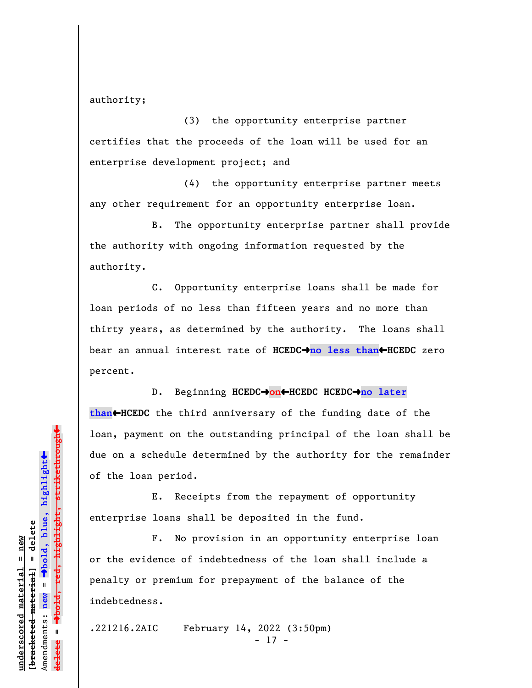authority;

(3) the opportunity enterprise partner certifies that the proceeds of the loan will be used for an enterprise development project; and

(4) the opportunity enterprise partner meets any other requirement for an opportunity enterprise loan.

B. The opportunity enterprise partner shall provide the authority with ongoing information requested by the authority.

C. Opportunity enterprise loans shall be made for loan periods of no less than fifteen years and no more than thirty years, as determined by the authority. The loans shall bear an annual interest rate of **HCEDC**º**no less than**»**HCEDC** zero percent.

D. Beginning **HCEDC**º**on**»**HCEDC HCEDC**º**no later than**»**HCEDC** the third anniversary of the funding date of the loan, payment on the outstanding principal of the loan shall be due on a schedule determined by the authority for the remainder of the loan period.

E. Receipts from the repayment of opportunity enterprise loans shall be deposited in the fund.

F. No provision in an opportunity enterprise loan or the evidence of indebtedness of the loan shall include a penalty or premium for prepayment of the balance of the indebtedness.

.221216.2AIC February 14, 2022 (3:50pm) - 17 -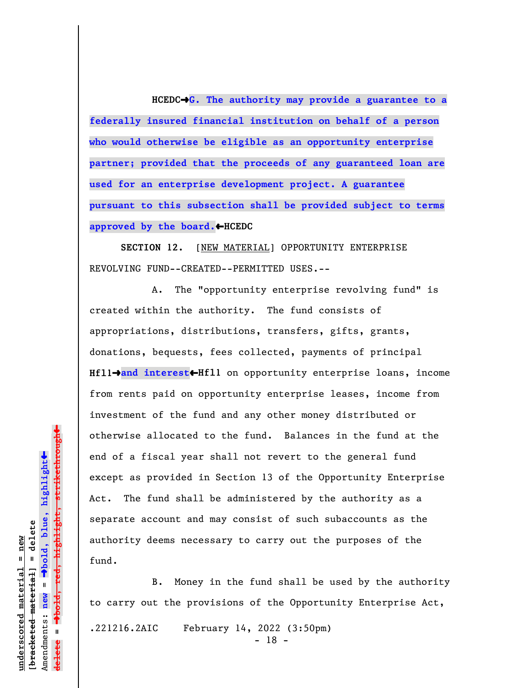**HCEDC**º**G. The authority may provide a guarantee to a federally insured financial institution on behalf of a person who would otherwise be eligible as an opportunity enterprise partner; provided that the proceeds of any guaranteed loan are used for an enterprise development project. A guarantee pursuant to this subsection shall be provided subject to terms approved by the board.**»**HCEDC**

**SECTION 12.** [NEW MATERIAL] OPPORTUNITY ENTERPRISE REVOLVING FUND--CREATED--PERMITTED USES.--

A. The "opportunity enterprise revolving fund" is created within the authority. The fund consists of appropriations, distributions, transfers, gifts, grants, donations, bequests, fees collected, payments of principal **Hfll→and interest←Hfll** on opportunity enterprise loans, income from rents paid on opportunity enterprise leases, income from investment of the fund and any other money distributed or otherwise allocated to the fund. Balances in the fund at the end of a fiscal year shall not revert to the general fund except as provided in Section 13 of the Opportunity Enterprise Act. The fund shall be administered by the authority as a separate account and may consist of such subaccounts as the authority deems necessary to carry out the purposes of the fund.

B. Money in the fund shall be used by the authority to carry out the provisions of the Opportunity Enterprise Act, .221216.2AIC February 14, 2022 (3:50pm)

- 18 -

º**bold, red, highlight, strikethrough**  $\ddot{\bullet}$ º**bold, blue, highlight** bracketed material] = delete **[bracketed material] = delete** mderscored material = new **underscored material = new** Amendments: **new** =  $\mathbf{I}$ Amendments: new  $\mathbf{u}$ **delete =**

 $\ddag$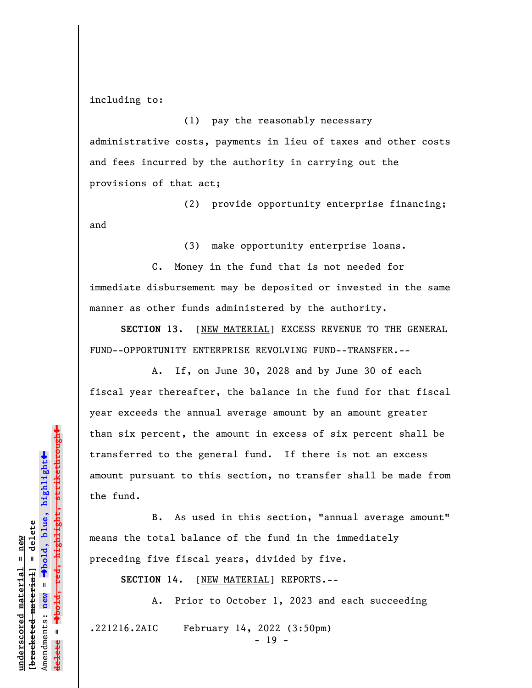including to:

(1) pay the reasonably necessary administrative costs, payments in lieu of taxes and other costs and fees incurred by the authority in carrying out the provisions of that act;

(2) provide opportunity enterprise financing; and

(3) make opportunity enterprise loans.

C. Money in the fund that is not needed for immediate disbursement may be deposited or invested in the same manner as other funds administered by the authority.

**SECTION 13.** [NEW MATERIAL] EXCESS REVENUE TO THE GENERAL FUND--OPPORTUNITY ENTERPRISE REVOLVING FUND--TRANSFER.--

A. If, on June 30, 2028 and by June 30 of each fiscal year thereafter, the balance in the fund for that fiscal year exceeds the annual average amount by an amount greater than six percent, the amount in excess of six percent shall be transferred to the general fund. If there is not an excess amount pursuant to this section, no transfer shall be made from the fund.

 B. As used in this section, "annual average amount" means the total balance of the fund in the immediately preceding five fiscal years, divided by five.

**SECTION 14.** [NEW MATERIAL] REPORTS.--

A. Prior to October 1, 2023 and each succeeding

.221216.2AIC February 14, 2022 (3:50pm)

 $- 19 -$ 

<del>highlight, strikethrough</del> º**bold, red, highlight, strikethrough**  $\ddot{\bullet}$ º**bold, blue, highlight** bracketed material] = delete **[bracketed material] = delete** inderscored material = new **underscored material = new** Amendments: **new** =  $\mathbf{I}$ Amendments: new **delete =**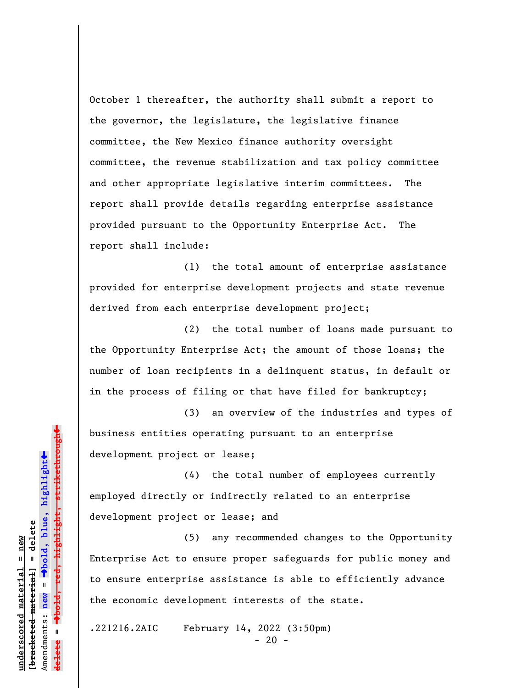October 1 thereafter, the authority shall submit a report to the governor, the legislature, the legislative finance committee, the New Mexico finance authority oversight committee, the revenue stabilization and tax policy committee and other appropriate legislative interim committees. The report shall provide details regarding enterprise assistance provided pursuant to the Opportunity Enterprise Act. The report shall include:

(1) the total amount of enterprise assistance provided for enterprise development projects and state revenue derived from each enterprise development project;

(2) the total number of loans made pursuant to the Opportunity Enterprise Act; the amount of those loans; the number of loan recipients in a delinquent status, in default or in the process of filing or that have filed for bankruptcy;

(3) an overview of the industries and types of business entities operating pursuant to an enterprise development project or lease;

(4) the total number of employees currently employed directly or indirectly related to an enterprise development project or lease; and

(5) any recommended changes to the Opportunity Enterprise Act to ensure proper safeguards for public money and to ensure enterprise assistance is able to efficiently advance the economic development interests of the state.

.221216.2AIC February 14, 2022 (3:50pm)  $- 20 -$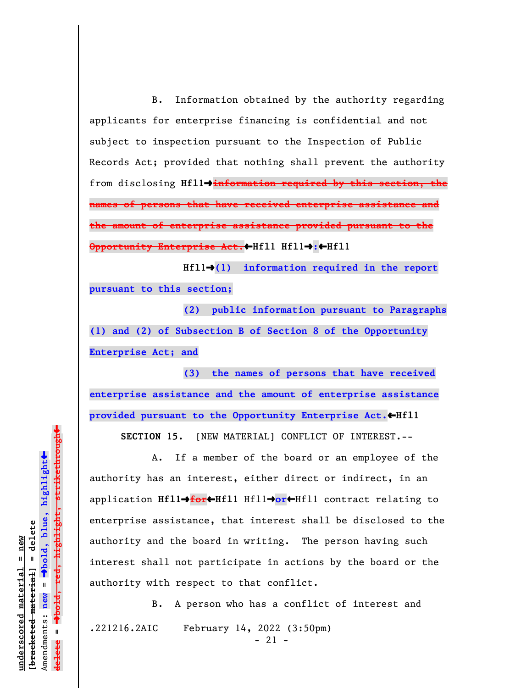B. Information obtained by the authority regarding applicants for enterprise financing is confidential and not subject to inspection pursuant to the Inspection of Public Records Act; provided that nothing shall prevent the authority from disclosing **Hfl1**º**information required by this section, the names of persons that have received enterprise assistance and the amount of enterprise assistance provided pursuant to the Opportunity Enterprise Act.**»**Hfl1 Hfl1**º**:**»**Hfl1**

**Hfl1**º**(1) information required in the report pursuant to this section;**

**(2) public information pursuant to Paragraphs (1) and (2) of Subsection B of Section 8 of the Opportunity Enterprise Act; and**

**(3) the names of persons that have received enterprise assistance and the amount of enterprise assistance provided pursuant to the Opportunity Enterprise Act.**»**Hfl1**

**SECTION 15.** [NEW MATERIAL] CONFLICT OF INTEREST.--

A. If a member of the board or an employee of the authority has an interest, either direct or indirect, in an application **Hfl1**º**for**»**Hfl1** Hfl1º**or**»Hfl1 contract relating to enterprise assistance, that interest shall be disclosed to the authority and the board in writing. The person having such interest shall not participate in actions by the board or the authority with respect to that conflict.

B. A person who has a conflict of interest and .221216.2AIC February 14, 2022 (3:50pm)  $- 21 -$